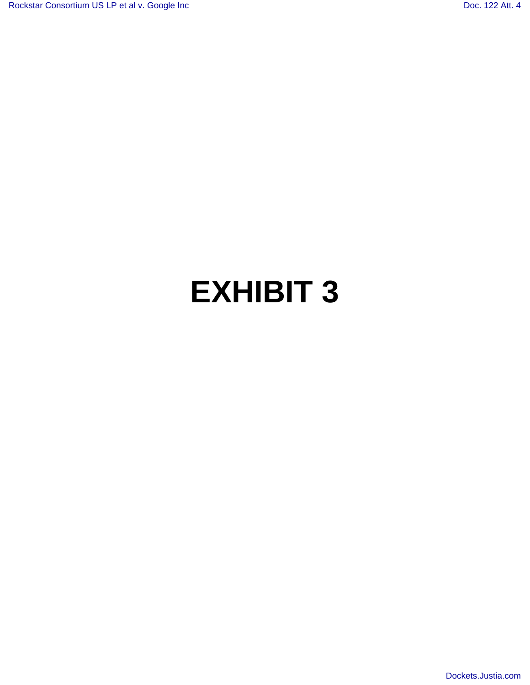# **EXHIBIT 3**

[Dockets.Justia.com](http://dockets.justia.com/)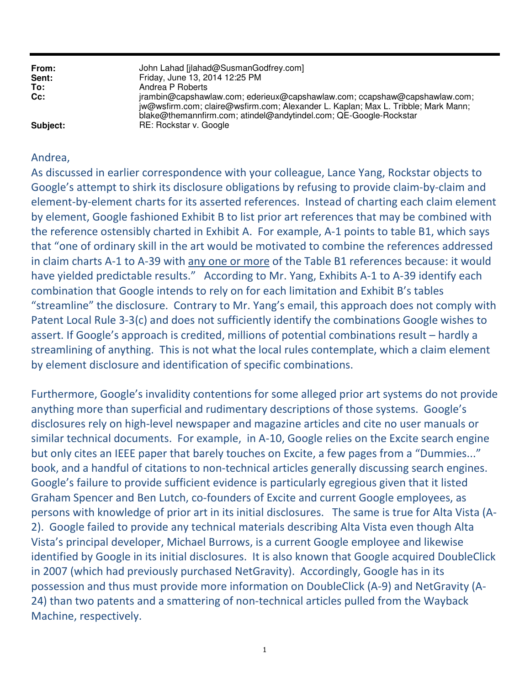| From:<br>Sent:<br>To:<br>Cc: | John Lahad [jlahad@SusmanGodfrey.com]<br>Friday, June 13, 2014 12:25 PM<br>Andrea P Roberts<br>jrambin@capshawlaw.com; ederieux@capshawlaw.com; ccapshaw@capshawlaw.com;<br>jw@wsfirm.com; claire@wsfirm.com; Alexander L. Kaplan; Max L. Tribble; Mark Mann;<br>blake@themannfirm.com; atindel@andytindel.com; QE-Google-Rockstar |
|------------------------------|------------------------------------------------------------------------------------------------------------------------------------------------------------------------------------------------------------------------------------------------------------------------------------------------------------------------------------|
| Subject:                     | RE: Rockstar v. Google                                                                                                                                                                                                                                                                                                             |

## Andrea,

As discussed in earlier correspondence with your colleague, Lance Yang, Rockstar objects to Google's attempt to shirk its disclosure obligations by refusing to provide claim-by-claim and element-by-element charts for its asserted references. Instead of charting each claim element by element, Google fashioned Exhibit B to list prior art references that may be combined with the reference ostensibly charted in Exhibit A. For example, A-1 points to table B1, which says that "one of ordinary skill in the art would be motivated to combine the references addressed in claim charts A-1 to A-39 with any one or more of the Table B1 references because: it would have yielded predictable results." According to Mr. Yang, Exhibits A-1 to A-39 identify each combination that Google intends to rely on for each limitation and Exhibit B's tables "streamline" the disclosure. Contrary to Mr. Yang's email, this approach does not comply with Patent Local Rule 3-3(c) and does not sufficiently identify the combinations Google wishes to assert. If Google's approach is credited, millions of potential combinations result – hardly a streamlining of anything. This is not what the local rules contemplate, which a claim element by element disclosure and identification of specific combinations.

Furthermore, Google's invalidity contentions for some alleged prior art systems do not provide anything more than superficial and rudimentary descriptions of those systems. Google's disclosures rely on high-level newspaper and magazine articles and cite no user manuals or similar technical documents. For example, in A-10, Google relies on the Excite search engine but only cites an IEEE paper that barely touches on Excite, a few pages from a "Dummies..." book, and a handful of citations to non-technical articles generally discussing search engines. Google's failure to provide sufficient evidence is particularly egregious given that it listed Graham Spencer and Ben Lutch, co-founders of Excite and current Google employees, as persons with knowledge of prior art in its initial disclosures. The same is true for Alta Vista (A-2). Google failed to provide any technical materials describing Alta Vista even though Alta Vista's principal developer, Michael Burrows, is a current Google employee and likewise identified by Google in its initial disclosures. It is also known that Google acquired DoubleClick in 2007 (which had previously purchased NetGravity). Accordingly, Google has in its possession and thus must provide more information on DoubleClick (A-9) and NetGravity (A-24) than two patents and a smattering of non-technical articles pulled from the Wayback Machine, respectively.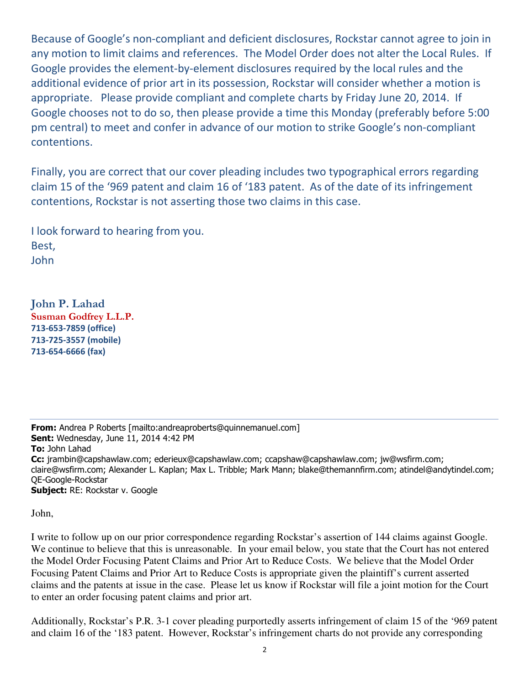Because of Google's non-compliant and deficient disclosures, Rockstar cannot agree to join in any motion to limit claims and references. The Model Order does not alter the Local Rules. If Google provides the element-by-element disclosures required by the local rules and the additional evidence of prior art in its possession, Rockstar will consider whether a motion is appropriate. Please provide compliant and complete charts by Friday June 20, 2014. If Google chooses not to do so, then please provide a time this Monday (preferably before 5:00 pm central) to meet and confer in advance of our motion to strike Google's non-compliant contentions.

Finally, you are correct that our cover pleading includes two typographical errors regarding claim 15 of the '969 patent and claim 16 of '183 patent. As of the date of its infringement contentions, Rockstar is not asserting those two claims in this case.

I look forward to hearing from you. Best, John

**John P. Lahad Susman Godfrey L.L.P. 713-653-7859 (office) 713-725-3557 (mobile) 713-654-6666 (fax)** 

**From:** Andrea P Roberts [mailto:andreaproberts@quinnemanuel.com] **Sent:** Wednesday, June 11, 2014 4:42 PM **To:** John Lahad **Cc:** jrambin@capshawlaw.com; ederieux@capshawlaw.com; ccapshaw@capshawlaw.com; jw@wsfirm.com; claire@wsfirm.com; Alexander L. Kaplan; Max L. Tribble; Mark Mann; blake@themannfirm.com; atindel@andytindel.com; QE-Google-Rockstar **Subject:** RE: Rockstar v. Google

John,

I write to follow up on our prior correspondence regarding Rockstar's assertion of 144 claims against Google. We continue to believe that this is unreasonable. In your email below, you state that the Court has not entered the Model Order Focusing Patent Claims and Prior Art to Reduce Costs. We believe that the Model Order Focusing Patent Claims and Prior Art to Reduce Costs is appropriate given the plaintiff's current asserted claims and the patents at issue in the case. Please let us know if Rockstar will file a joint motion for the Court to enter an order focusing patent claims and prior art.

Additionally, Rockstar's P.R. 3-1 cover pleading purportedly asserts infringement of claim 15 of the '969 patent and claim 16 of the '183 patent. However, Rockstar's infringement charts do not provide any corresponding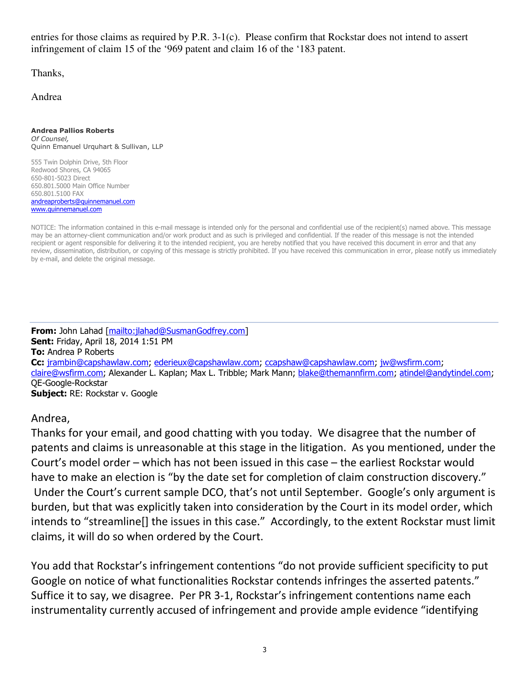entries for those claims as required by P.R. 3-1(c). Please confirm that Rockstar does not intend to assert infringement of claim 15 of the '969 patent and claim 16 of the '183 patent.

Thanks,

Andrea

**Andrea Pallios Roberts** *Of Counsel,* Quinn Emanuel Urquhart & Sullivan, LLP

555 Twin Dolphin Drive, 5th Floor Redwood Shores, CA 94065 650-801-5023 Direct 650.801.5000 Main Office Number 650.801.5100 FAX andreaproberts@quinnemanuel.com www.quinnemanuel.com

NOTICE: The information contained in this e-mail message is intended only for the personal and confidential use of the recipient(s) named above. This message may be an attorney-client communication and/or work product and as such is privileged and confidential. If the reader of this message is not the intended recipient or agent responsible for delivering it to the intended recipient, you are hereby notified that you have received this document in error and that any review, dissemination, distribution, or copying of this message is strictly prohibited. If you have received this communication in error, please notify us immediately by e-mail, and delete the original message.

**From:** John Lahad [mailto:jlahad@SusmanGodfrey.com] **Sent:** Friday, April 18, 2014 1:51 PM **To:** Andrea P Roberts **Cc:** jrambin@capshawlaw.com; ederieux@capshawlaw.com; ccapshaw@capshawlaw.com; jw@wsfirm.com; claire@wsfirm.com; Alexander L. Kaplan; Max L. Tribble; Mark Mann; blake@themannfirm.com; atindel@andytindel.com; QE-Google-Rockstar **Subject:** RE: Rockstar v. Google

Andrea,

Thanks for your email, and good chatting with you today. We disagree that the number of patents and claims is unreasonable at this stage in the litigation. As you mentioned, under the Court's model order – which has not been issued in this case – the earliest Rockstar would have to make an election is "by the date set for completion of claim construction discovery." Under the Court's current sample DCO, that's not until September. Google's only argument is burden, but that was explicitly taken into consideration by the Court in its model order, which intends to "streamline[] the issues in this case." Accordingly, to the extent Rockstar must limit claims, it will do so when ordered by the Court.

You add that Rockstar's infringement contentions "do not provide sufficient specificity to put Google on notice of what functionalities Rockstar contends infringes the asserted patents." Suffice it to say, we disagree. Per PR 3-1, Rockstar's infringement contentions name each instrumentality currently accused of infringement and provide ample evidence "identifying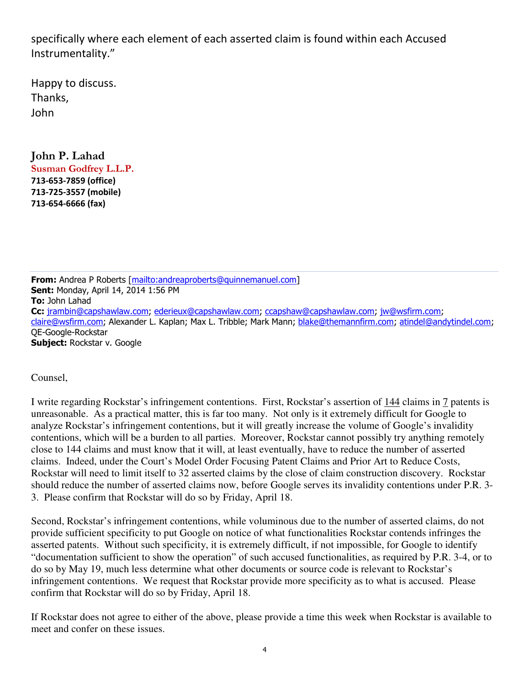specifically where each element of each asserted claim is found within each Accused Instrumentality."

Happy to discuss. Thanks, John

**John P. Lahad Susman Godfrey L.L.P. 713-653-7859 (office) 713-725-3557 (mobile) 713-654-6666 (fax)** 

**From:** Andrea P Roberts [mailto:andreaproberts@quinnemanuel.com] **Sent:** Monday, April 14, 2014 1:56 PM **To:** John Lahad **Cc:** jrambin@capshawlaw.com; ederieux@capshawlaw.com; ccapshaw@capshawlaw.com; jw@wsfirm.com; claire@wsfirm.com; Alexander L. Kaplan; Max L. Tribble; Mark Mann; blake@themannfirm.com; atindel@andytindel.com; QE-Google-Rockstar **Subject:** Rockstar v. Google

Counsel,

I write regarding Rockstar's infringement contentions. First, Rockstar's assertion of 144 claims in 7 patents is unreasonable. As a practical matter, this is far too many. Not only is it extremely difficult for Google to analyze Rockstar's infringement contentions, but it will greatly increase the volume of Google's invalidity contentions, which will be a burden to all parties. Moreover, Rockstar cannot possibly try anything remotely close to 144 claims and must know that it will, at least eventually, have to reduce the number of asserted claims. Indeed, under the Court's Model Order Focusing Patent Claims and Prior Art to Reduce Costs, Rockstar will need to limit itself to 32 asserted claims by the close of claim construction discovery. Rockstar should reduce the number of asserted claims now, before Google serves its invalidity contentions under P.R. 3- 3. Please confirm that Rockstar will do so by Friday, April 18.

Second, Rockstar's infringement contentions, while voluminous due to the number of asserted claims, do not provide sufficient specificity to put Google on notice of what functionalities Rockstar contends infringes the asserted patents. Without such specificity, it is extremely difficult, if not impossible, for Google to identify "documentation sufficient to show the operation" of such accused functionalities, as required by P.R. 3-4, or to do so by May 19, much less determine what other documents or source code is relevant to Rockstar's infringement contentions. We request that Rockstar provide more specificity as to what is accused. Please confirm that Rockstar will do so by Friday, April 18.

If Rockstar does not agree to either of the above, please provide a time this week when Rockstar is available to meet and confer on these issues.